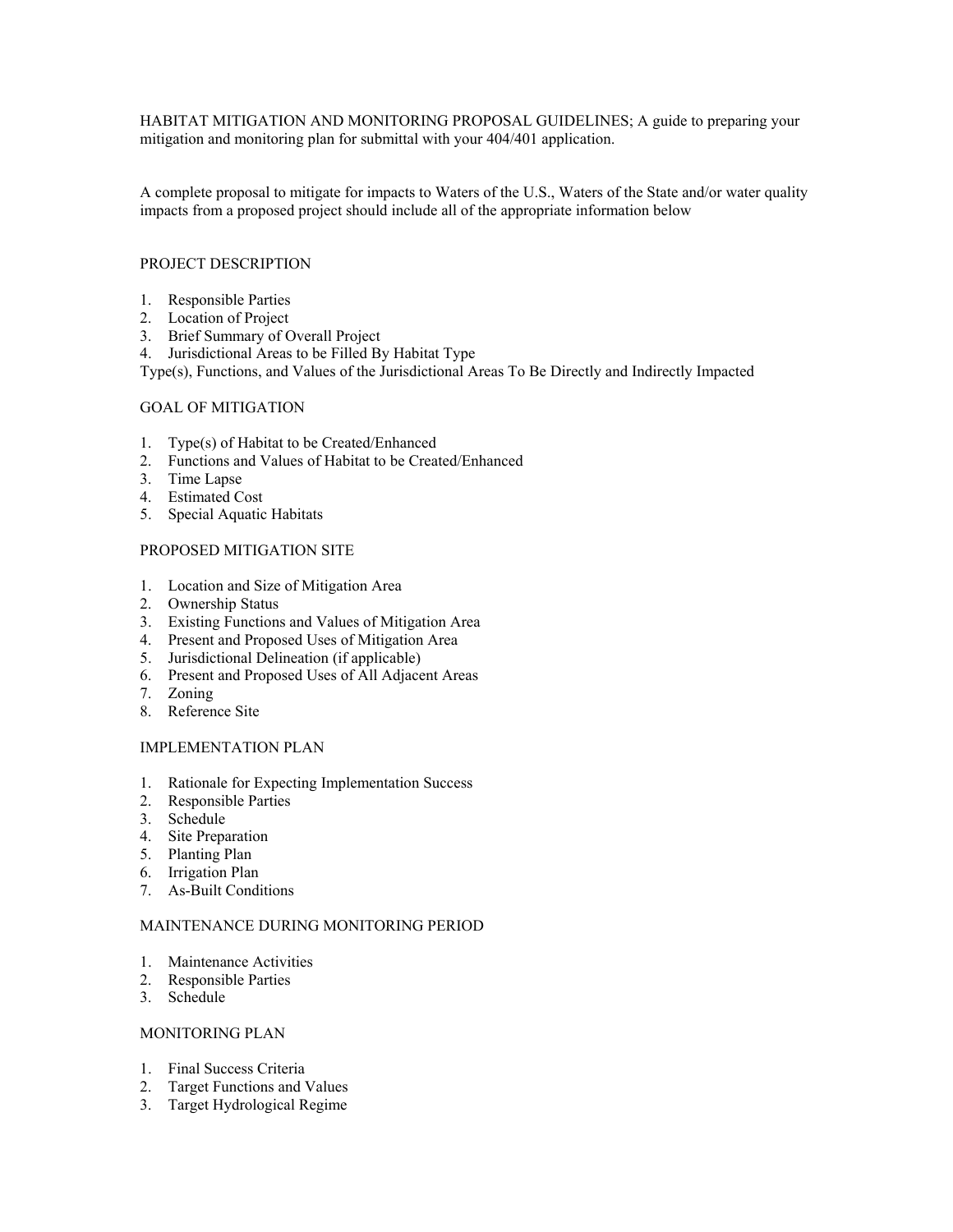HABITAT MITIGATION AND MONITORING PROPOSAL GUIDELINES; A guide to preparing your mitigation and monitoring plan for submittal with your 404/401 application.

A complete proposal to mitigate for impacts to Waters of the U.S., Waters of the State and/or water quality impacts from a proposed project should include all of the appropriate information below

### PROJECT DESCRIPTION

- 1. Responsible Parties
- 2. Location of Project
- 3. Brief Summary of Overall Project
- 4. Jurisdictional Areas to be Filled By Habitat Type

Type(s), Functions, and Values of the Jurisdictional Areas To Be Directly and Indirectly Impacted

### GOAL OF MITIGATION

- 1. Type(s) of Habitat to be Created/Enhanced
- 2. Functions and Values of Habitat to be Created/Enhanced
- 3. Time Lapse
- 4. Estimated Cost
- 5. Special Aquatic Habitats

### PROPOSED MITIGATION SITE

- 1. Location and Size of Mitigation Area
- 2. Ownership Status
- 3. Existing Functions and Values of Mitigation Area
- 4. Present and Proposed Uses of Mitigation Area
- 5. Jurisdictional Delineation (if applicable)
- 6. Present and Proposed Uses of All Adjacent Areas
- 7. Zoning
- 8. Reference Site

### IMPLEMENTATION PLAN

- 1. Rationale for Expecting Implementation Success
- 2. Responsible Parties
- 3. Schedule
- 4. Site Preparation
- 5. Planting Plan
- 6. Irrigation Plan
- 7. As-Built Conditions

## MAINTENANCE DURING MONITORING PERIOD

- 1. Maintenance Activities
- 2. Responsible Parties
- 3. Schedule

### MONITORING PLAN

- 1. Final Success Criteria
- 2. Target Functions and Values
- 3. Target Hydrological Regime